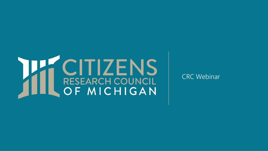# **THE CITIZENS**

CRC Webinar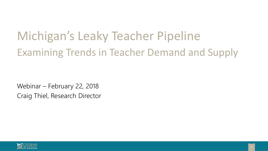# Michigan's Leaky Teacher Pipeline Examining Trends in Teacher Demand and Supply

Webinar – February 22, 2018 Craig Thiel, Research Director

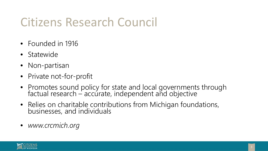### Citizens Research Council

- Founded in 1916
- Statewide
- Non-partisan
- Private not-for-profit
- Promotes sound policy for state and local governments through factual research – accurate, independent and objective
- Relies on charitable contributions from Michigan foundations, businesses, and individuals
- *www.crcmich.org*

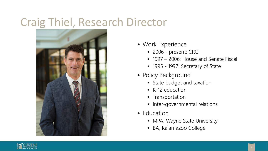#### Craig Thiel, Research Director



- Work Experience
	- 2006 present: CRC
	- 1997 2006: House and Senate Fiscal
	- 1995 1997: Secretary of State
- Policy Background
	- State budget and taxation
	- K-12 education
	- Transportation
	- Inter-governmental relations
- Education
	- MPA, Wayne State University
	- BA, Kalamazoo College

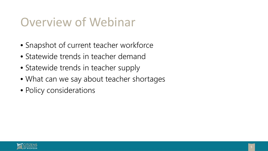#### Overview of Webinar

- Snapshot of current teacher workforce
- Statewide trends in teacher demand
- Statewide trends in teacher supply
- What can we say about teacher shortages
- Policy considerations

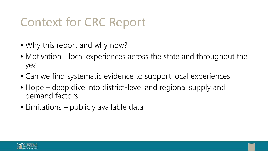### Context for CRC Report

- Why this report and why now?
- Motivation local experiences across the state and throughout the year
- Can we find systematic evidence to support local experiences
- Hope deep dive into district-level and regional supply and demand factors
- Limitations publicly available data

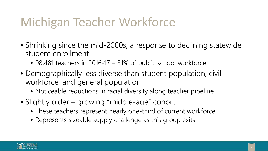### Michigan Teacher Workforce

- Shrinking since the mid-2000s, a response to declining statewide student enrollment
	- 98,481 teachers in 2016-17 31% of public school workforce
- Demographically less diverse than student population, civil workforce, and general population
	- Noticeable reductions in racial diversity along teacher pipeline
- Slightly older growing "middle-age" cohort
	- These teachers represent nearly one-third of current workforce
	- Represents sizeable supply challenge as this group exits

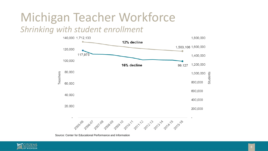## Michigan Teacher Workforce

#### *Shrinking with student enrollment*



Source: Center for Educational Performance and Information

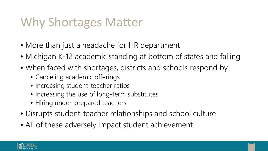#### Why Shortages Matter

- More than just a headache for HR department
- Michigan K-12 academic standing at bottom of states and falling
- When faced with shortages, districts and schools respond by
	- Canceling academic offerings
	- Increasing student-teacher ratios
	- Increasing the use of long-term substitutes
	- Hiring under-prepared teachers
- Disrupts student-teacher relationships and school culture
- All of these adversely impact student achievement

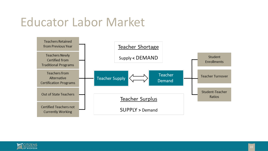#### Educator Labor Market



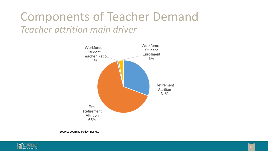#### Components of Teacher Demand *Teacher attrition main driver*



Source: Learning Policy Institute

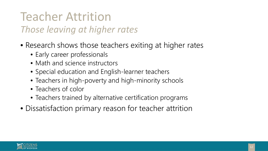# Teacher Attrition

#### *Those leaving at higher rates*

- Research shows those teachers exiting at higher rates
	- Early career professionals
	- Math and science instructors
	- Special education and English-learner teachers
	- Teachers in high-poverty and high-minority schools
	- Teachers of color
	- Teachers trained by alternative certification programs
- Dissatisfaction primary reason for teacher attrition

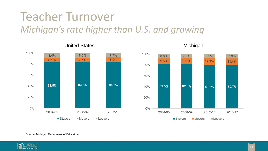#### Teacher Turnover *Michigan's rate higher than U.S. and growing*



United States **Michigan** 



Source: Michigan Department of Education

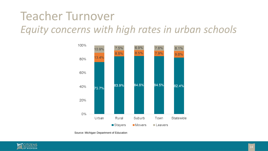#### Teacher Turnover *Equity concerns with high rates in urban schools*



Source: Michigan Department of Education

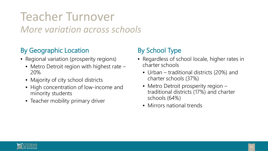#### Teacher Turnover *More variation across schools*

#### By Geographic Location

- Regional variation (prosperity regions)
	- Metro Detroit region with highest rate 20%
	- Majority of city school districts
	- High concentration of low-income and minority students
	- Teacher mobility primary driver

#### By School Type

- Regardless of school locale, higher rates in charter schools
	- Urban traditional districts (20%) and charter schools (37%)
	- Metro Detroit prosperity region traditional districts (17%) and charter schools (64%)
	- Mirrors national trends

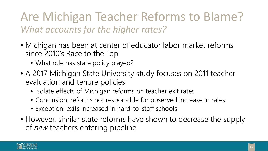#### Are Michigan Teacher Reforms to Blame? *What accounts for the higher rates?*

- Michigan has been at center of educator labor market reforms since 2010's Race to the Top
	- What role has state policy played?
- A 2017 Michigan State University study focuses on 2011 teacher evaluation and tenure policies
	- Isolate effects of Michigan reforms on teacher exit rates
	- Conclusion: reforms not responsible for observed increase in rates
	- Exception: exits increased in hard-to-staff schools
- However, similar state reforms have shown to decrease the supply of *new* teachers entering pipeline

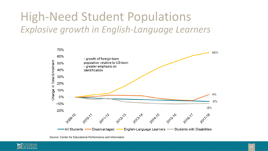#### High-Need Student Populations *Explosive growth in English-Language Learners*



Source: Center for Educational Performance and Information

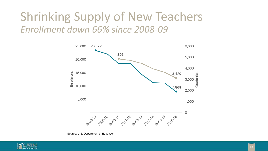#### Shrinking Supply of New Teachers *Enrollment down 66% since 2008-09*



Source: U.S. Department of Education

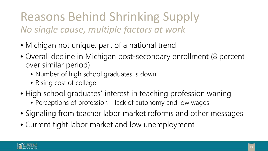#### Reasons Behind Shrinking Supply *No single cause, multiple factors at work*

- Michigan not unique, part of a national trend
- Overall decline in Michigan post-secondary enrollment (8 percent over similar period)
	- Number of high school graduates is down
	- Rising cost of college
- High school graduates' interest in teaching profession waning
	- Perceptions of profession lack of autonomy and low wages
- Signaling from teacher labor market reforms and other messages
- Current tight labor market and low unemployment

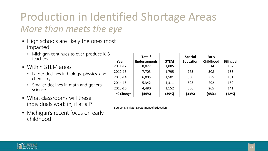# Production in Identified Shortage Areas

#### *More than meets the eye*

- High schools are likely the ones most impacted
	- Michigan continues to over-produce K-8 teachers
- Within STEM areas
	- Larger declines in biology, physics, and chemistry
	- Smaller declines in math and general science
- What classrooms will these individuals work in, if at all?
- Michigan's recent focus on early childhood

| Year     | Total*<br><b>Endorsements</b> | <b>STEM</b> | <b>Special</b><br><b>Education</b> | Early<br><b>Childhood</b> | <b>Bilingual</b> |
|----------|-------------------------------|-------------|------------------------------------|---------------------------|------------------|
| 2011-12  | 8,027                         | 1,885       | 833                                | 514                       | 162              |
| 2012-13  | 7,703                         | 1,795       | 775                                | 508                       | 153              |
| 2013-14  | 6,005                         | 1,501       | 650                                | 355                       | 131              |
| 2014-15  | 5,342                         | 1,311       | 593                                | 292                       | 159              |
| 2015-16  | 4,480                         | 1,152       | 556                                | 265                       | 141              |
| % Change | (44%)                         | (39%)       | (33%)                              | (48%)                     | (12%)            |

Source: Michigan Department of Education

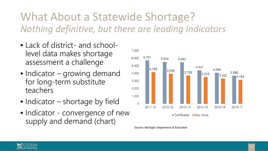#### What About a Statewide Shortage? *Nothing definitive, but there are leading indicators*

- Lack of district- and schoollevel data makes shortage assessment a challenge
- Indicator growing demand for long-term substitute teachers
- Indicator shortage by field
- Indicator convergence of new supply and demand (chart)



Source: Michigan Department of Education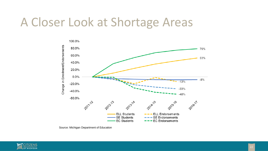#### A Closer Look at Shortage Areas



Source: Michigan Department of Education

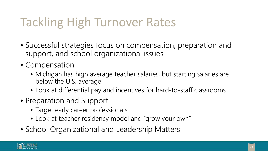### Tackling High Turnover Rates

- Successful strategies focus on compensation, preparation and support, and school organizational issues
- Compensation
	- Michigan has high average teacher salaries, but starting salaries are below the U.S. average
	- Look at differential pay and incentives for hard-to-staff classrooms
- Preparation and Support
	- Target early career professionals
	- Look at teacher residency model and "grow your own"
- School Organizational and Leadership Matters